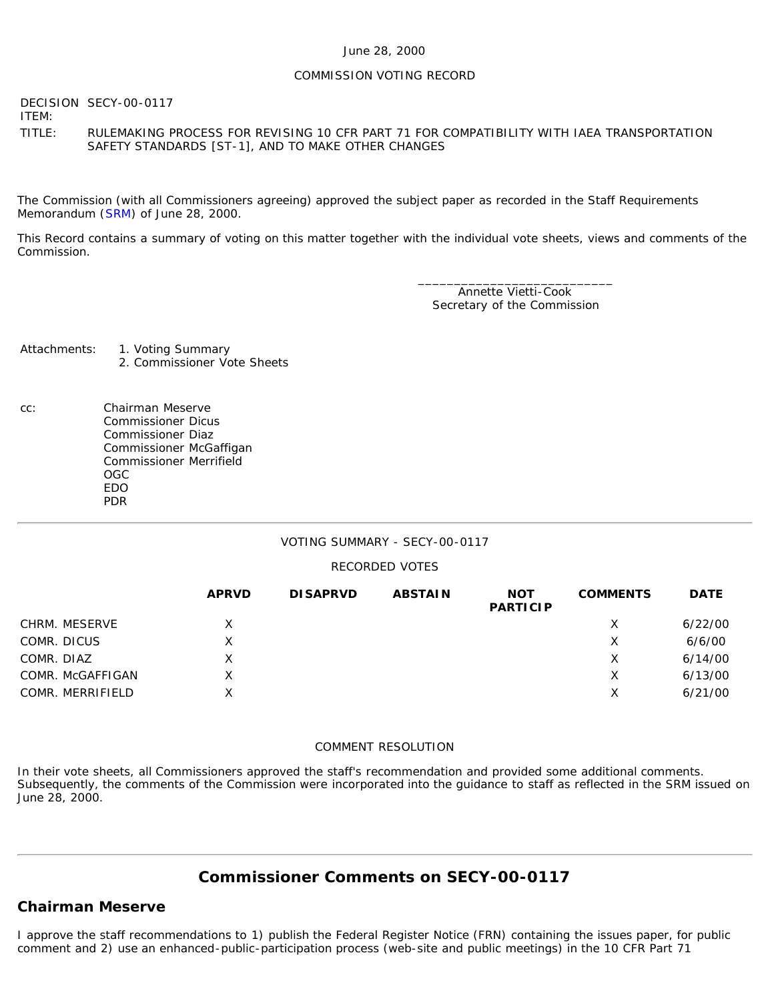#### June 28, 2000

#### COMMISSION VOTING RECORD

DECISION SECY-00-0117 ITEM: TITLE: RULEMAKING PROCESS FOR REVISING 10 CFR PART 71 FOR COMPATIBILITY WITH IAEA TRANSPORTATION SAFETY STANDARDS [ST-1], AND TO MAKE OTHER CHANGES

The Commission (with all Commissioners agreeing) approved the subject paper as recorded in the Staff Requirements Memorandum ([SRM\)](http://www.nrc.gov/reading-rm/doc-collections/commission/srm/2000/2000-0117srm.html) of June 28, 2000.

This Record contains a summary of voting on this matter together with the individual vote sheets, views and comments of the Commission.

> \_\_\_\_\_\_\_\_\_\_\_\_\_\_\_\_\_\_\_\_\_\_\_\_\_\_\_ Annette Vietti-Cook Secretary of the Commission

Attachments: 1. Voting Summary 2. Commissioner Vote Sheets

cc: Chairman Meserve Commissioner Dicus Commissioner Diaz Commissioner McGaffigan Commissioner Merrifield OGC EDO PDR

#### VOTING SUMMARY - SECY-00-0117

#### RECORDED VOTES

|                  | <b>APRVD</b> | <b>DISAPRVD</b> | <b>ABSTAIN</b> | <b>NOT</b><br><b>PARTICIP</b> | <b>COMMENTS</b> | <b>DATE</b> |
|------------------|--------------|-----------------|----------------|-------------------------------|-----------------|-------------|
| CHRM. MESERVE    | X.           |                 |                |                               | X               | 6/22/00     |
| COMR. DICUS      | X.           |                 |                |                               | Х               | 6/6/00      |
| COMR. DIAZ       | X            |                 |                |                               | X               | 6/14/00     |
| COMR. McGAFFIGAN | X.           |                 |                |                               | х               | 6/13/00     |
| COMR. MERRIFIELD | X            |                 |                |                               | Х               | 6/21/00     |

#### COMMENT RESOLUTION

In their vote sheets, all Commissioners approved the staff's recommendation and provided some additional comments. Subsequently, the comments of the Commission were incorporated into the guidance to staff as reflected in the SRM issued on June 28, 2000.

# **Commissioner Comments on [SECY-00-0117](http://www.nrc.gov/reading-rm/doc-collections/commission/secys/2000/secy2000-0117/2000-0117scy.html)**

### **Chairman Meserve**

I approve the staff recommendations to 1) publish the Federal Register Notice (FRN) containing the issues paper, for public comment and 2) use an enhanced-public-participation process (web-site and public meetings) in the 10 CFR Part 71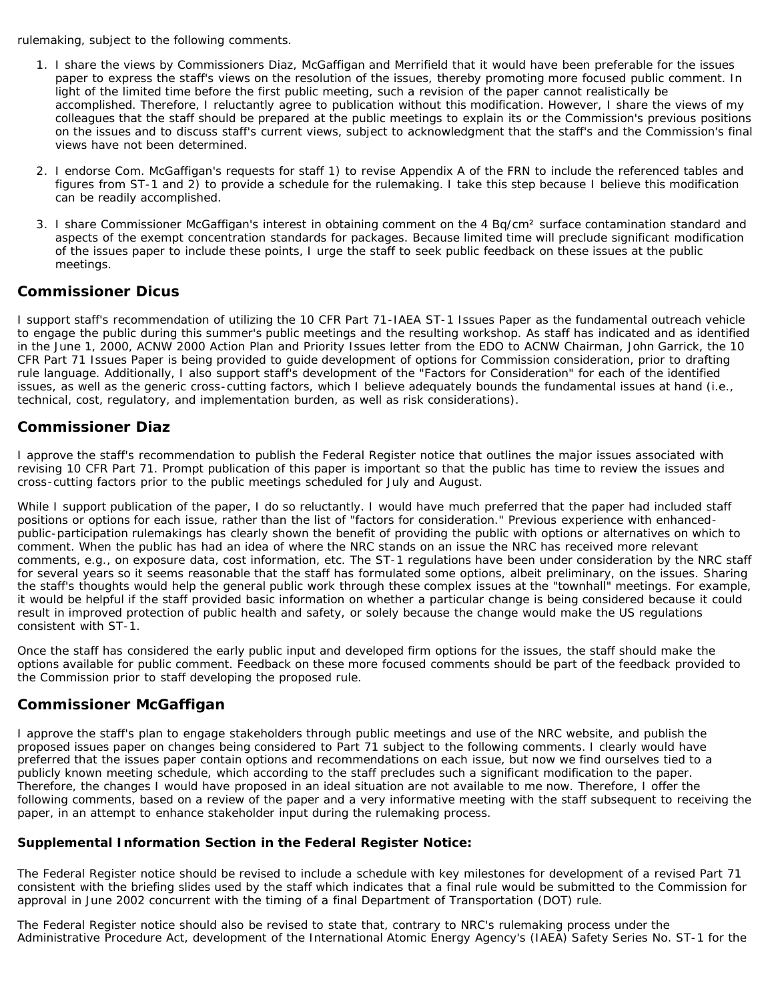rulemaking, subject to the following comments.

- 1. I share the views by Commissioners Diaz, McGaffigan and Merrifield that it would have been preferable for the issues paper to express the staff's views on the resolution of the issues, thereby promoting more focused public comment. In light of the limited time before the first public meeting, such a revision of the paper cannot realistically be accomplished. Therefore, I reluctantly agree to publication without this modification. However, I share the views of my colleagues that the staff should be prepared at the public meetings to explain its or the Commission's previous positions on the issues and to discuss staff's current views, subject to acknowledgment that the staff's and the Commission's final views have not been determined.
- 2. I endorse Com. McGaffigan's requests for staff 1) to revise Appendix A of the FRN to include the referenced tables and figures from ST-1 and 2) to provide a schedule for the rulemaking. I take this step because I believe this modification can be readily accomplished.
- 3. I share Commissioner McGaffigan's interest in obtaining comment on the 4 Bq/cm<sup>2</sup> surface contamination standard and aspects of the exempt concentration standards for packages. Because limited time will preclude significant modification of the issues paper to include these points, I urge the staff to seek public feedback on these issues at the public meetings.

## **Commissioner Dicus**

I support staff's recommendation of utilizing the 10 CFR Part 71-IAEA ST-1 Issues Paper as the fundamental outreach vehicle to engage the public during this summer's public meetings and the resulting workshop. As staff has indicated and as identified in the June 1, 2000, ACNW 2000 Action Plan and Priority Issues letter from the EDO to ACNW Chairman, John Garrick, the 10 CFR Part 71 Issues Paper is being provided to guide development of options for Commission consideration, prior to drafting rule language. Additionally, I also support staff's development of the "Factors for Consideration" for each of the identified issues, as well as the generic cross-cutting factors, which I believe adequately bounds the fundamental issues at hand (i.e., technical, cost, regulatory, and implementation burden, as well as risk considerations).

## **Commissioner Diaz**

I approve the staff's recommendation to publish the Federal Register notice that outlines the major issues associated with revising 10 CFR Part 71. Prompt publication of this paper is important so that the public has time to review the issues and cross-cutting factors prior to the public meetings scheduled for July and August.

While I support publication of the paper, I do so reluctantly. I would have much preferred that the paper had included staff positions or options for each issue, rather than the list of "factors for consideration." Previous experience with enhancedpublic-participation rulemakings has clearly shown the benefit of providing the public with options or alternatives on which to comment. When the public has had an idea of where the NRC stands on an issue the NRC has received more relevant comments, e.g., on exposure data, cost information, etc. The ST-1 regulations have been under consideration by the NRC staff for several years so it seems reasonable that the staff has formulated some options, albeit preliminary, on the issues. Sharing the staff's thoughts would help the general public work through these complex issues at the "townhall" meetings. For example, it would be helpful if the staff provided basic information on whether a particular change is being considered because it could result in improved protection of public health and safety, or solely because the change would make the US regulations consistent with ST-1.

Once the staff has considered the early public input and developed firm options for the issues, the staff should make the options available for public comment. Feedback on these more focused comments should be part of the feedback provided to the Commission prior to staff developing the proposed rule.

## **Commissioner McGaffigan**

I approve the staff's plan to engage stakeholders through public meetings and use of the NRC website, and publish the proposed issues paper on changes being considered to Part 71 subject to the following comments. I clearly would have preferred that the issues paper contain options and recommendations on each issue, but now we find ourselves tied to a publicly known meeting schedule, which according to the staff precludes such a significant modification to the paper. Therefore, the changes I would have proposed in an ideal situation are not available to me now. Therefore, I offer the following comments, based on a review of the paper and a very informative meeting with the staff subsequent to receiving the paper, in an attempt to enhance stakeholder input during the rulemaking process.

### *Supplemental Information Section in the Federal Register Notice:*

The Federal Register notice should be revised to include a schedule with key milestones for development of a revised Part 71 consistent with the briefing slides used by the staff which indicates that a final rule would be submitted to the Commission for approval in June 2002 concurrent with the timing of a final Department of Transportation (DOT) rule.

The Federal Register notice should also be revised to state that, contrary to NRC's rulemaking process under the Administrative Procedure Act, development of the International Atomic Energy Agency's (IAEA) Safety Series No. ST-1 for the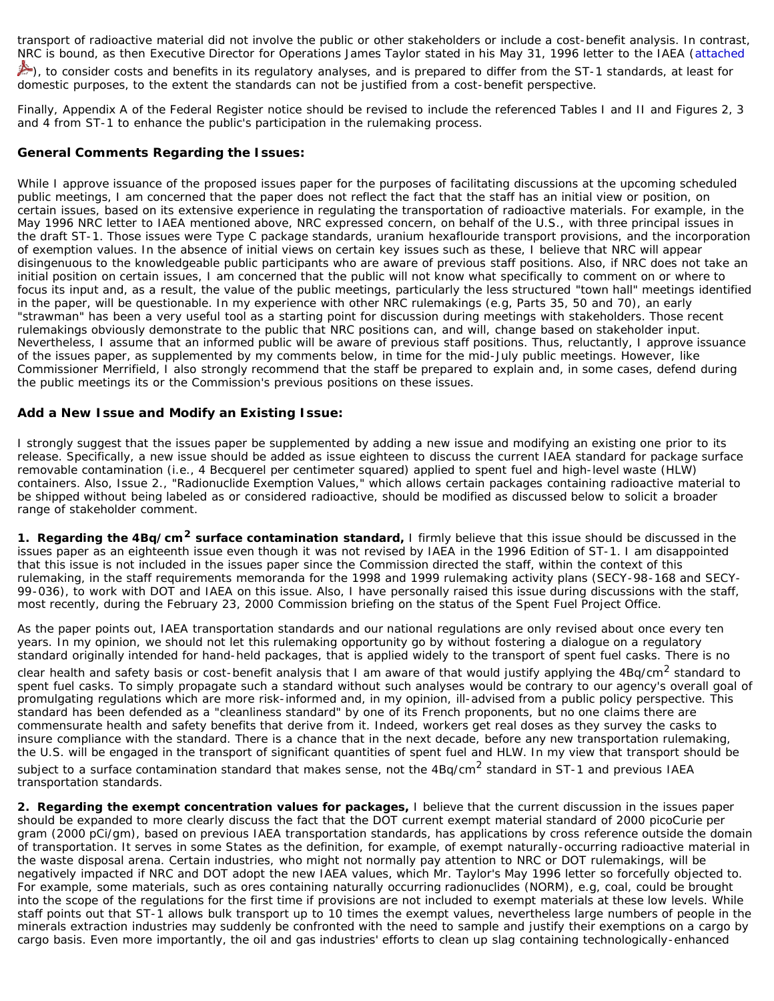transport of radioactive material did not involve the public or other stakeholders or include a cost-benefit analysis. In contrast, NRC is bound, as then Executive Director for Operations James Taylor stated in his May 31, 1996 letter to the IAEA ([attached](http://www.nrc.gov/reading-rm/doc-collections/commission/cvr/2000/2000-0117vtrltr.pdf)

), to consider costs and benefits in its regulatory analyses, and is prepared to differ from the ST-1 standards, at least for domestic purposes, to the extent the standards can not be justified from a cost-benefit perspective.

Finally, Appendix A of the Federal Register notice should be revised to include the referenced Tables I and II and Figures 2, 3 and 4 from ST-1 to enhance the public's participation in the rulemaking process.

### *General Comments Regarding the Issues:*

While I approve issuance of the proposed issues paper for the purposes of facilitating discussions at the upcoming scheduled public meetings, I am concerned that the paper does not reflect the fact that the staff has an initial view or position, on certain issues, based on its extensive experience in regulating the transportation of radioactive materials. For example, in the May 1996 NRC letter to IAEA mentioned above, NRC expressed concern, on behalf of the U.S., with three principal issues in the draft ST-1. Those issues were Type C package standards, uranium hexaflouride transport provisions, and the incorporation of exemption values. In the absence of initial views on certain key issues such as these, I believe that NRC will appear disingenuous to the knowledgeable public participants who are aware of previous staff positions. Also, if NRC does not take an initial position on certain issues, I am concerned that the public will not know what specifically to comment on or where to focus its input and, as a result, the value of the public meetings, particularly the less structured "town hall" meetings identified in the paper, will be questionable. In my experience with other NRC rulemakings (e.g, Parts 35, 50 and 70), an early "strawman" has been a very useful tool as a starting point for discussion during meetings with stakeholders. Those recent rulemakings obviously demonstrate to the public that NRC positions can, and will, change based on stakeholder input. Nevertheless, I assume that an informed public will be aware of previous staff positions. Thus, reluctantly, I approve issuance of the issues paper, as supplemented by my comments below, in time for the mid-July public meetings. However, like Commissioner Merrifield, I also strongly recommend that the staff be prepared to explain and, in some cases, defend during the public meetings its or the Commission's previous positions on these issues.

### *Add a New Issue and Modify an Existing Issue:*

I strongly suggest that the issues paper be supplemented by adding a new issue and modifying an existing one prior to its release. Specifically, a new issue should be added as issue eighteen to discuss the current IAEA standard for package surface removable contamination (i.e., 4 Becquerel per centimeter squared) applied to spent fuel and high-level waste (HLW) containers. Also, Issue 2., "Radionuclide Exemption Values," which allows certain packages containing radioactive material to be shipped without being labeled as or considered radioactive, should be modified as discussed below to solicit a broader range of stakeholder comment.

*1. Regarding the 4Bq/cm2 surface contamination standard,* I firmly believe that this issue should be discussed in the issues paper as an eighteenth issue even though it was not revised by IAEA in the 1996 Edition of ST-1. I am disappointed that this issue is not included in the issues paper since the Commission directed the staff, within the context of this rulemaking, in the staff requirements memoranda for the 1998 and 1999 rulemaking activity plans (SECY-98-168 and SECY-99-036), to work with DOT and IAEA on this issue. Also, I have personally raised this issue during discussions with the staff, most recently, during the February 23, 2000 Commission briefing on the status of the Spent Fuel Project Office.

As the paper points out, IAEA transportation standards and our national regulations are only revised about once every ten years. In my opinion, we should not let this rulemaking opportunity go by without fostering a dialogue on a regulatory standard originally intended for hand-held packages, that is applied widely to the transport of spent fuel casks. There is no clear health and safety basis or cost-benefit analysis that I am aware of that would justify applying the 4Bq/cm<sup>2</sup> standard to spent fuel casks. To simply propagate such a standard without such analyses would be contrary to our agency's overall goal of promulgating regulations which are more risk-informed and, in my opinion, ill-advised from a public policy perspective. This standard has been defended as a "cleanliness standard" by one of its French proponents, but no one claims there are commensurate health and safety benefits that derive from it. Indeed, workers get real doses as they survey the casks to insure compliance with the standard. There is a chance that in the next decade, before any new transportation rulemaking, the U.S. will be engaged in the transport of significant quantities of spent fuel and HLW. In my view that transport should be subject to a surface contamination standard that makes sense, not the 4Bq/cm<sup>2</sup> standard in ST-1 and previous IAEA transportation standards.

*2. Regarding the exempt concentration values for packages,* I believe that the current discussion in the issues paper should be expanded to more clearly discuss the fact that the DOT current exempt material standard of 2000 picoCurie per gram (2000 pCi/gm), based on previous IAEA transportation standards, has applications by cross reference outside the domain of transportation. It serves in some States as the definition, for example, of exempt naturally-occurring radioactive material in the waste disposal arena. Certain industries, who might not normally pay attention to NRC or DOT rulemakings, will be negatively impacted if NRC and DOT adopt the new IAEA values, which Mr. Taylor's May 1996 letter so forcefully objected to. For example, some materials, such as ores containing naturally occurring radionuclides (NORM), e.g, coal, could be brought into the scope of the regulations for the first time if provisions are not included to exempt materials at these low levels. While staff points out that ST-1 allows bulk transport up to 10 times the exempt values, nevertheless large numbers of people in the minerals extraction industries may suddenly be confronted with the need to sample and justify their exemptions on a cargo by cargo basis. Even more importantly, the oil and gas industries' efforts to clean up slag containing technologically-enhanced